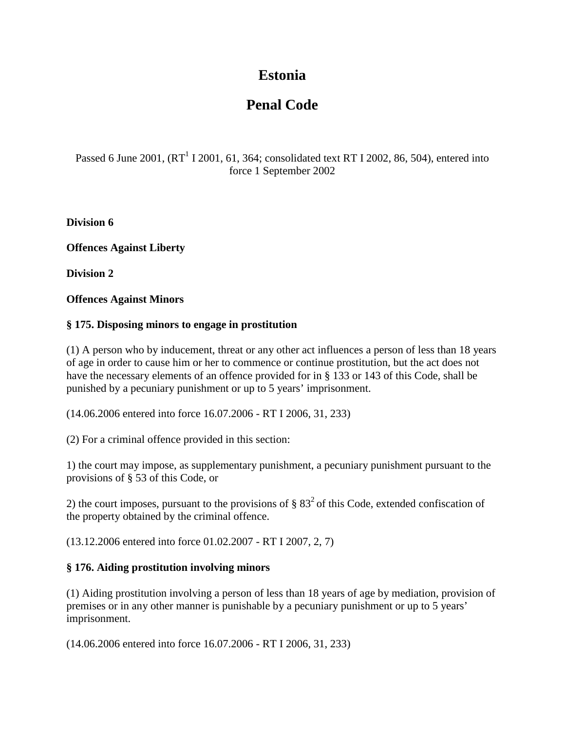# **Estonia**

# **Penal Code**

Passed 6 June 2001,  $(RT^1 I 2001, 61, 364$ ; consolidated text RT I 2002, 86, 504), entered into force 1 September 2002

**Division 6**

**Offences Against Liberty**

**Division 2**

**Offences Against Minors**

## **§ 175. Disposing minors to engage in prostitution**

(1) A person who by inducement, threat or any other act influences a person of less than 18 years of age in order to cause him or her to commence or continue prostitution, but the act does not have the necessary elements of an offence provided for in § 133 or 143 of this Code, shall be punished by a pecuniary punishment or up to 5 years' imprisonment.

(14.06.2006 entered into force 16.07.2006 - RT I 2006, 31, 233)

(2) For a criminal offence provided in this section:

1) the court may impose, as supplementary punishment, a pecuniary punishment pursuant to the provisions of § 53 of this Code, or

2) the court imposes, pursuant to the provisions of  $\S 83^2$  of this Code, extended confiscation of the property obtained by the criminal offence.

(13.12.2006 entered into force 01.02.2007 - RT I 2007, 2, 7)

#### **§ 176. Aiding prostitution involving minors**

(1) Aiding prostitution involving a person of less than 18 years of age by mediation, provision of premises or in any other manner is punishable by a pecuniary punishment or up to 5 years' imprisonment.

(14.06.2006 entered into force 16.07.2006 - RT I 2006, 31, 233)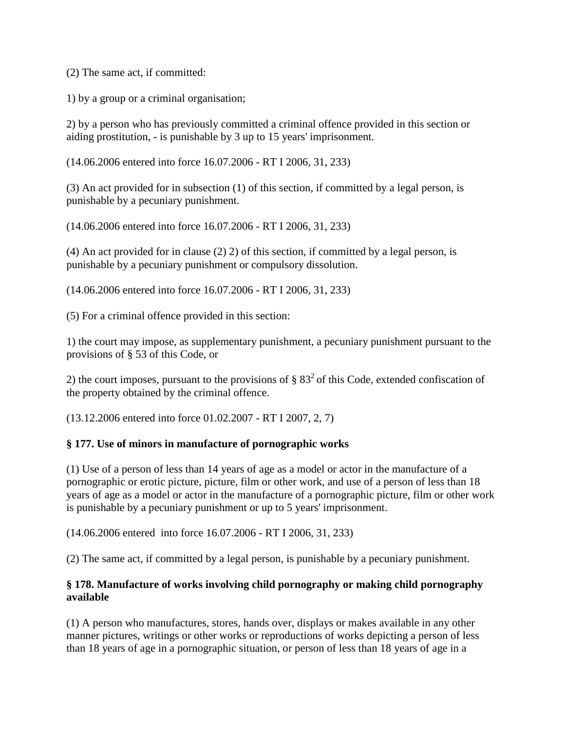(2) The same act, if committed:

1) by a group or a criminal organisation;

2) by a person who has previously committed a criminal offence provided in this section or aiding prostitution, - is punishable by 3 up to 15 years' imprisonment.

(14.06.2006 entered into force 16.07.2006 - RT I 2006, 31, 233)

(3) An act provided for in subsection (1) of this section, if committed by a legal person, is punishable by a pecuniary punishment.

(14.06.2006 entered into force 16.07.2006 - RT I 2006, 31, 233)

(4) An act provided for in clause (2) 2) of this section, if committed by a legal person, is punishable by a pecuniary punishment or compulsory dissolution.

(14.06.2006 entered into force 16.07.2006 - RT I 2006, 31, 233)

(5) For a criminal offence provided in this section:

1) the court may impose, as supplementary punishment, a pecuniary punishment pursuant to the provisions of § 53 of this Code, or

2) the court imposes, pursuant to the provisions of  $\S 83^2$  of this Code, extended confiscation of the property obtained by the criminal offence.

(13.12.2006 entered into force 01.02.2007 - RT I 2007, 2, 7)

#### **§ 177. Use of minors in manufacture of pornographic works**

(1) Use of a person of less than 14 years of age as a model or actor in the manufacture of a pornographic or erotic picture, picture, film or other work, and use of a person of less than 18 years of age as a model or actor in the manufacture of a pornographic picture, film or other work is punishable by a pecuniary punishment or up to 5 years' imprisonment.

(14.06.2006 entered into force 16.07.2006 - RT I 2006, 31, 233)

(2) The same act, if committed by a legal person, is punishable by a pecuniary punishment.

#### **§ 178. Manufacture of works involving child pornography or making child pornography available**

(1) A person who manufactures, stores, hands over, displays or makes available in any other manner pictures, writings or other works or reproductions of works depicting a person of less than 18 years of age in a pornographic situation, or person of less than 18 years of age in a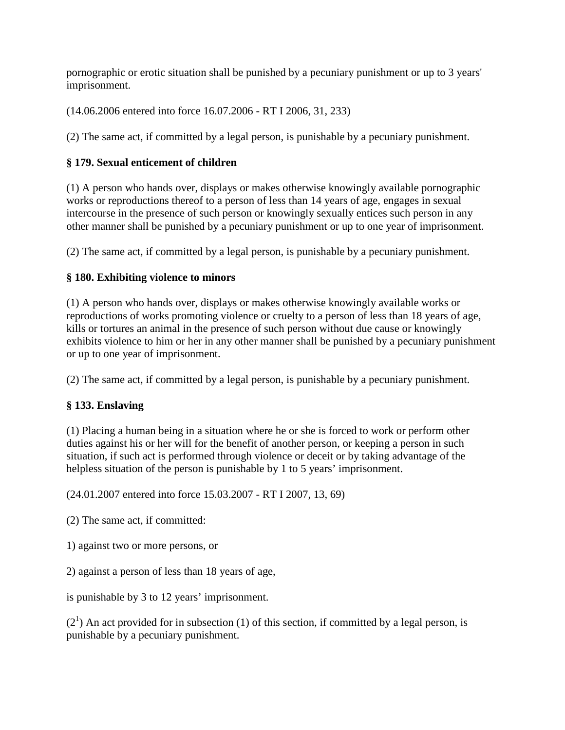pornographic or erotic situation shall be punished by a pecuniary punishment or up to 3 years' imprisonment.

(14.06.2006 entered into force 16.07.2006 - RT I 2006, 31, 233)

(2) The same act, if committed by a legal person, is punishable by a pecuniary punishment.

# **§ 179. Sexual enticement of children**

(1) A person who hands over, displays or makes otherwise knowingly available pornographic works or reproductions thereof to a person of less than 14 years of age, engages in sexual intercourse in the presence of such person or knowingly sexually entices such person in any other manner shall be punished by a pecuniary punishment or up to one year of imprisonment.

(2) The same act, if committed by a legal person, is punishable by a pecuniary punishment.

# **§ 180. Exhibiting violence to minors**

(1) A person who hands over, displays or makes otherwise knowingly available works or reproductions of works promoting violence or cruelty to a person of less than 18 years of age, kills or tortures an animal in the presence of such person without due cause or knowingly exhibits violence to him or her in any other manner shall be punished by a pecuniary punishment or up to one year of imprisonment.

(2) The same act, if committed by a legal person, is punishable by a pecuniary punishment.

# **§ 133. Enslaving**

(1) Placing a human being in a situation where he or she is forced to work or perform other duties against his or her will for the benefit of another person, or keeping a person in such situation, if such act is performed through violence or deceit or by taking advantage of the helpless situation of the person is punishable by 1 to 5 years' imprisonment.

(24.01.2007 entered into force 15.03.2007 - RT I 2007, 13, 69)

(2) The same act, if committed:

1) against two or more persons, or

2) against a person of less than 18 years of age,

is punishable by 3 to 12 years' imprisonment.

 $(2<sup>1</sup>)$  An act provided for in subsection (1) of this section, if committed by a legal person, is punishable by a pecuniary punishment.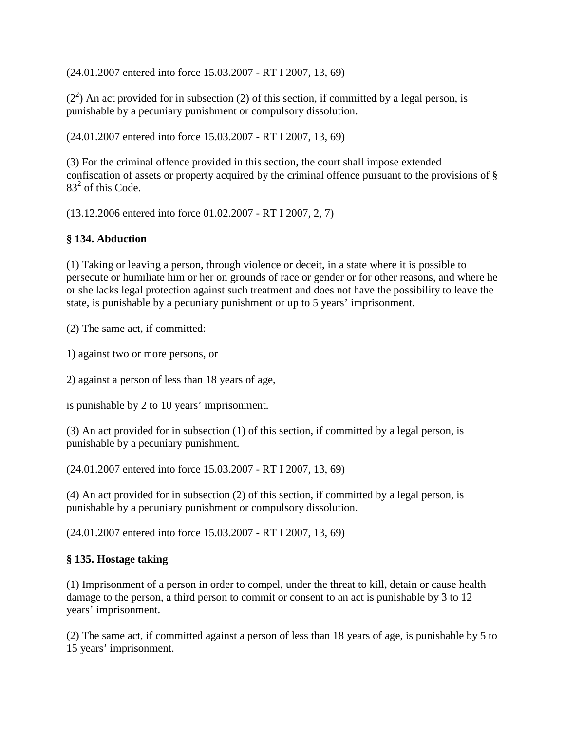(24.01.2007 entered into force 15.03.2007 - RT I 2007, 13, 69)

 $(2<sup>2</sup>)$  An act provided for in subsection (2) of this section, if committed by a legal person, is punishable by a pecuniary punishment or compulsory dissolution.

(24.01.2007 entered into force 15.03.2007 - RT I 2007, 13, 69)

(3) For the criminal offence provided in this section, the court shall impose extended confiscation of assets or property acquired by the criminal offence pursuant to the provisions of §  $83<sup>2</sup>$  of this Code.

(13.12.2006 entered into force 01.02.2007 - RT I 2007, 2, 7)

# **§ 134. Abduction**

(1) Taking or leaving a person, through violence or deceit, in a state where it is possible to persecute or humiliate him or her on grounds of race or gender or for other reasons, and where he or she lacks legal protection against such treatment and does not have the possibility to leave the state, is punishable by a pecuniary punishment or up to 5 years' imprisonment.

(2) The same act, if committed:

1) against two or more persons, or

2) against a person of less than 18 years of age,

is punishable by 2 to 10 years' imprisonment.

(3) An act provided for in subsection (1) of this section, if committed by a legal person, is punishable by a pecuniary punishment.

(24.01.2007 entered into force 15.03.2007 - RT I 2007, 13, 69)

(4) An act provided for in subsection (2) of this section, if committed by a legal person, is punishable by a pecuniary punishment or compulsory dissolution.

(24.01.2007 entered into force 15.03.2007 - RT I 2007, 13, 69)

#### **§ 135. Hostage taking**

(1) Imprisonment of a person in order to compel, under the threat to kill, detain or cause health damage to the person, a third person to commit or consent to an act is punishable by 3 to 12 years' imprisonment.

(2) The same act, if committed against a person of less than 18 years of age, is punishable by 5 to 15 years' imprisonment.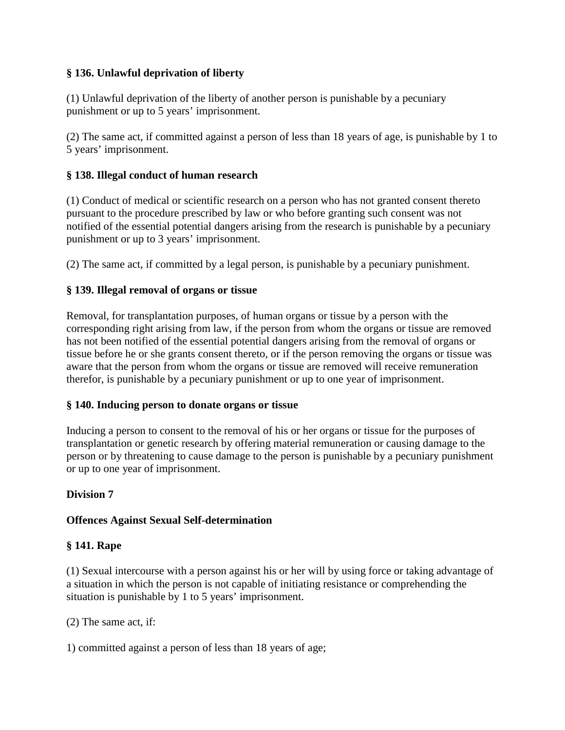## **§ 136. Unlawful deprivation of liberty**

(1) Unlawful deprivation of the liberty of another person is punishable by a pecuniary punishment or up to 5 years' imprisonment.

(2) The same act, if committed against a person of less than 18 years of age, is punishable by 1 to 5 years' imprisonment.

#### **§ 138. Illegal conduct of human research**

(1) Conduct of medical or scientific research on a person who has not granted consent thereto pursuant to the procedure prescribed by law or who before granting such consent was not notified of the essential potential dangers arising from the research is punishable by a pecuniary punishment or up to 3 years' imprisonment.

(2) The same act, if committed by a legal person, is punishable by a pecuniary punishment.

#### **§ 139. Illegal removal of organs or tissue**

Removal, for transplantation purposes, of human organs or tissue by a person with the corresponding right arising from law, if the person from whom the organs or tissue are removed has not been notified of the essential potential dangers arising from the removal of organs or tissue before he or she grants consent thereto, or if the person removing the organs or tissue was aware that the person from whom the organs or tissue are removed will receive remuneration therefor, is punishable by a pecuniary punishment or up to one year of imprisonment.

#### **§ 140. Inducing person to donate organs or tissue**

Inducing a person to consent to the removal of his or her organs or tissue for the purposes of transplantation or genetic research by offering material remuneration or causing damage to the person or by threatening to cause damage to the person is punishable by a pecuniary punishment or up to one year of imprisonment.

#### **Division 7**

#### **Offences Against Sexual Self-determination**

#### **§ 141. Rape**

(1) Sexual intercourse with a person against his or her will by using force or taking advantage of a situation in which the person is not capable of initiating resistance or comprehending the situation is punishable by 1 to 5 years' imprisonment.

(2) The same act, if:

1) committed against a person of less than 18 years of age;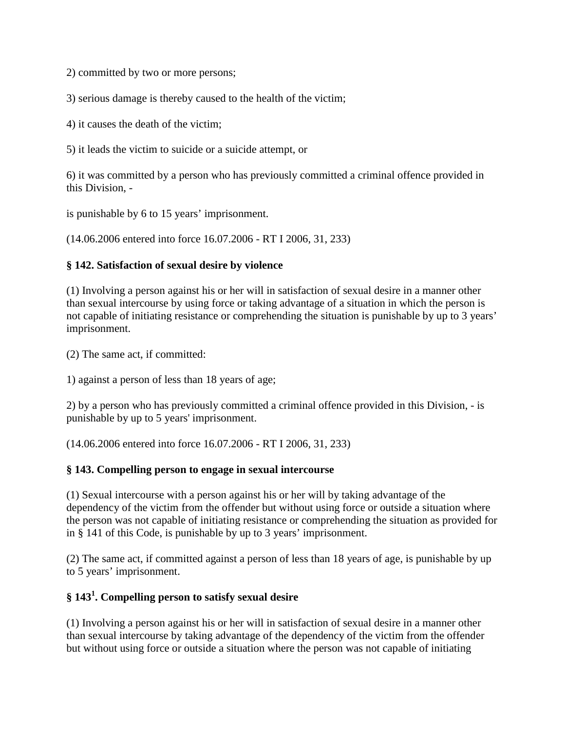2) committed by two or more persons;

3) serious damage is thereby caused to the health of the victim;

4) it causes the death of the victim;

5) it leads the victim to suicide or a suicide attempt, or

6) it was committed by a person who has previously committed a criminal offence provided in this Division, -

is punishable by 6 to 15 years' imprisonment.

(14.06.2006 entered into force 16.07.2006 - RT I 2006, 31, 233)

#### **§ 142. Satisfaction of sexual desire by violence**

(1) Involving a person against his or her will in satisfaction of sexual desire in a manner other than sexual intercourse by using force or taking advantage of a situation in which the person is not capable of initiating resistance or comprehending the situation is punishable by up to 3 years' imprisonment.

(2) The same act, if committed:

1) against a person of less than 18 years of age;

2) by a person who has previously committed a criminal offence provided in this Division, - is punishable by up to 5 years' imprisonment.

(14.06.2006 entered into force 16.07.2006 - RT I 2006, 31, 233)

#### **§ 143. Compelling person to engage in sexual intercourse**

(1) Sexual intercourse with a person against his or her will by taking advantage of the dependency of the victim from the offender but without using force or outside a situation where the person was not capable of initiating resistance or comprehending the situation as provided for in § 141 of this Code, is punishable by up to 3 years' imprisonment.

(2) The same act, if committed against a person of less than 18 years of age, is punishable by up to 5 years' imprisonment.

## **§ 1431 . Compelling person to satisfy sexual desire**

(1) Involving a person against his or her will in satisfaction of sexual desire in a manner other than sexual intercourse by taking advantage of the dependency of the victim from the offender but without using force or outside a situation where the person was not capable of initiating